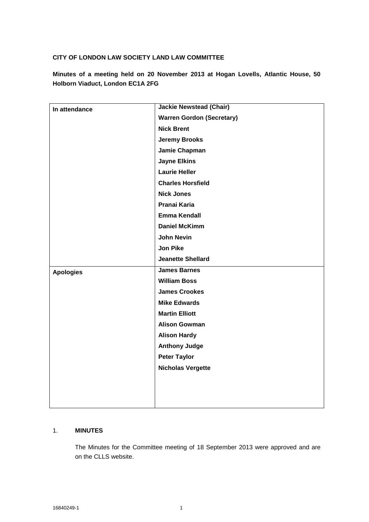## **CITY OF LONDON LAW SOCIETY LAND LAW COMMITTEE**

**Minutes of a meeting held on 20 November 2013 at Hogan Lovells, Atlantic House, 50 Holborn Viaduct, London EC1A 2FG**

| In attendance    | <b>Jackie Newstead (Chair)</b>   |
|------------------|----------------------------------|
|                  | <b>Warren Gordon (Secretary)</b> |
|                  | <b>Nick Brent</b>                |
|                  | <b>Jeremy Brooks</b>             |
|                  | Jamie Chapman                    |
|                  | <b>Jayne Elkins</b>              |
|                  | <b>Laurie Heller</b>             |
|                  | <b>Charles Horsfield</b>         |
|                  | <b>Nick Jones</b>                |
|                  |                                  |
|                  | Pranai Karia                     |
|                  | <b>Emma Kendall</b>              |
|                  | <b>Daniel McKimm</b>             |
|                  | <b>John Nevin</b>                |
|                  | Jon Pike                         |
|                  | <b>Jeanette Shellard</b>         |
| <b>Apologies</b> | <b>James Barnes</b>              |
|                  | <b>William Boss</b>              |
|                  | <b>James Crookes</b>             |
|                  | <b>Mike Edwards</b>              |
|                  | <b>Martin Elliott</b>            |
|                  | <b>Alison Gowman</b>             |
|                  | <b>Alison Hardy</b>              |
|                  | <b>Anthony Judge</b>             |
|                  | <b>Peter Taylor</b>              |
|                  | <b>Nicholas Vergette</b>         |
|                  |                                  |
|                  |                                  |
|                  |                                  |
|                  |                                  |

### 1. **MINUTES**

The Minutes for the Committee meeting of 18 September 2013 were approved and are on the CLLS website.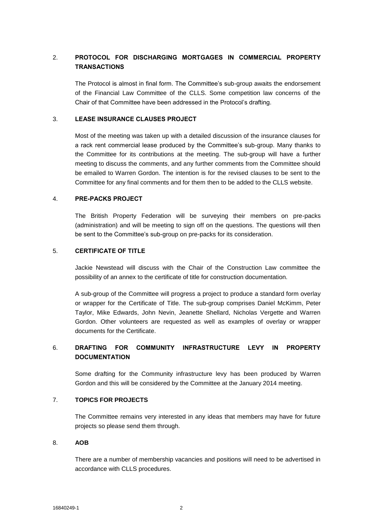# 2. **PROTOCOL FOR DISCHARGING MORTGAGES IN COMMERCIAL PROPERTY TRANSACTIONS**

The Protocol is almost in final form. The Committee's sub-group awaits the endorsement of the Financial Law Committee of the CLLS. Some competition law concerns of the Chair of that Committee have been addressed in the Protocol's drafting.

## 3. **LEASE INSURANCE CLAUSES PROJECT**

Most of the meeting was taken up with a detailed discussion of the insurance clauses for a rack rent commercial lease produced by the Committee's sub-group. Many thanks to the Committee for its contributions at the meeting. The sub-group will have a further meeting to discuss the comments, and any further comments from the Committee should be emailed to Warren Gordon. The intention is for the revised clauses to be sent to the Committee for any final comments and for them then to be added to the CLLS website.

#### 4. **PRE-PACKS PROJECT**

The British Property Federation will be surveying their members on pre-packs (administration) and will be meeting to sign off on the questions. The questions will then be sent to the Committee's sub-group on pre-packs for its consideration.

### 5. **CERTIFICATE OF TITLE**

Jackie Newstead will discuss with the Chair of the Construction Law committee the possibility of an annex to the certificate of title for construction documentation.

A sub-group of the Committee will progress a project to produce a standard form overlay or wrapper for the Certificate of Title. The sub-group comprises Daniel McKimm, Peter Taylor, Mike Edwards, John Nevin, Jeanette Shellard, Nicholas Vergette and Warren Gordon. Other volunteers are requested as well as examples of overlay or wrapper documents for the Certificate.

# 6. **DRAFTING FOR COMMUNITY INFRASTRUCTURE LEVY IN PROPERTY DOCUMENTATION**

Some drafting for the Community infrastructure levy has been produced by Warren Gordon and this will be considered by the Committee at the January 2014 meeting.

### 7. **TOPICS FOR PROJECTS**

The Committee remains very interested in any ideas that members may have for future projects so please send them through.

#### 8. **AOB**

There are a number of membership vacancies and positions will need to be advertised in accordance with CLLS procedures.